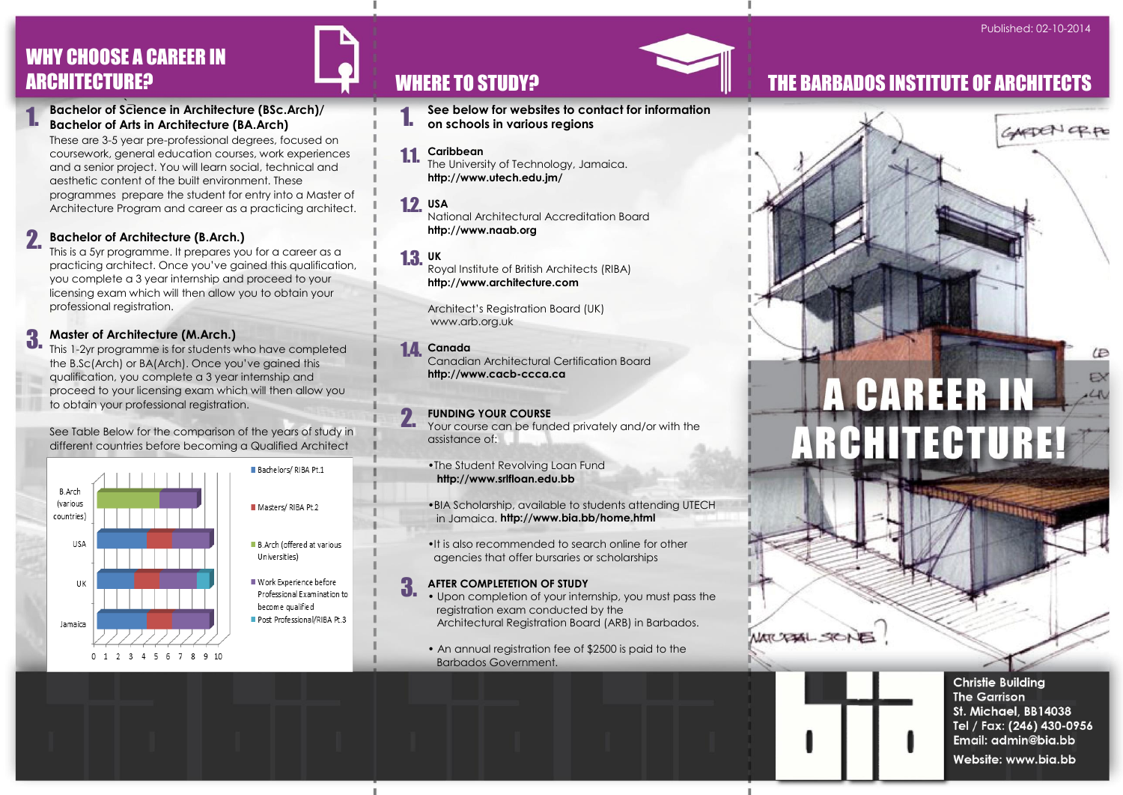# WHY CHOOSE A CAREER IN

`– **Bachelor of Science in Architecture (BSc.Arch)/ Bachelor of Arts in Architecture (BA.Arch)** 1.

These are 3-5 year pre-professional degrees, focused on coursework, general education courses, work experiences and a senior project. You will learn social, technical and aesthetic content of the built environment. These programmes prepare the student for entry into a Master of Architecture Program and career as a practicing architect.

#### **Bachelor of Architecture (B.Arch.)** 2.

This is a 5yr programme. It prepares you for a career as a practicing architect. Once you've gained this qualification, you complete a 3 year internship and proceed to your licensing exam which will then allow you to obtain your professional registration.

#### **Master of Architecture (M.Arch.)** 3.

This 1-2yr programme is for students who have completed the B.Sc(Arch) or BA(Arch). Once you've gained this qualification, you complete a 3 year internship and proceed to your licensing exam which will then allow you to obtain your professional registration.

#### See Table Below for the comparison of the years of study in different countries before becoming a Qualified Architect





**See below for websites to contact for information on schools in various regions** 1.

#### **Caribbean** 1.1.

The University of Technology, Jamaica. **http://www.utech.edu.jm/**

**USA** 1.2.

National Architectural Accreditation Board **http://www.naab.org** 

**UK** 1.3.

Royal Institute of British Architects (RIBA) **http://www.architecture.com** 

Architect's Registration Board (UK) www.arb.org.uk

#### **Canada** 1.4.

3.

Canadian Architectural Certification Board **http://www.cacb-ccca.ca** 

#### **FUNDING YOUR COURSE** 2.

Your course can be funded privately and/or with the assistance of:

•The Student Revolving Loan Fund **http://www.srlfloan.edu.bb** 

•BIA Scholarship, available to students attending UTECH in Jamaica. **http://www.bia.bb/home.html**

•It is also recommended to search online for other agencies that offer bursaries or scholarships

#### **AFTER COMPLETETION OF STUDY**

• Upon completion of your internship, you must pass the registration exam conducted by the Architectural Registration Board (ARB) in Barbados.

• An annual registration fee of \$2500 is paid to the Barbados Government.

## ARCHITECTURE? THE SARBADOS INSTITUTE OF ARCHITECTS